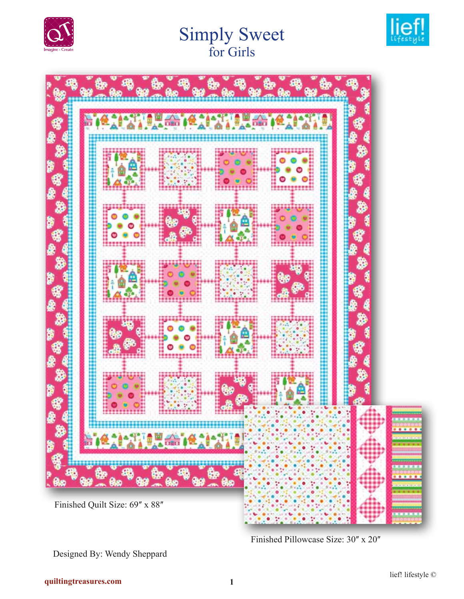

# Simply Sweet for Girls





Finished Pillowcase Size: 30" x 20"

Designed By: Wendy Sheppard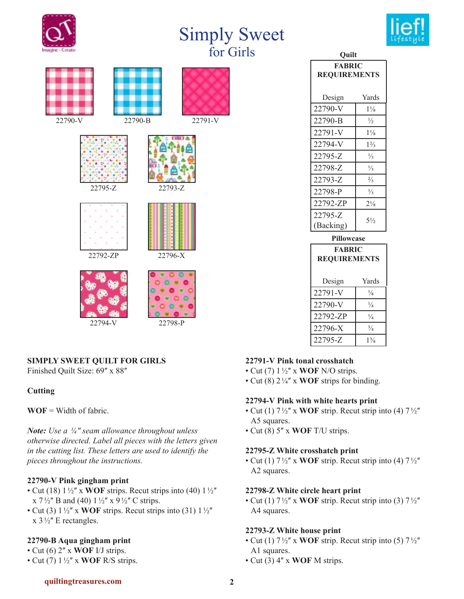

| Ouilt               |                |  |
|---------------------|----------------|--|
| <b>FABRIC</b>       |                |  |
| <b>REQUIREMENTS</b> |                |  |
|                     |                |  |
| Design              | Yards          |  |
| 22790-V             | $1\frac{1}{8}$ |  |
| 22790-B             | $\frac{1}{2}$  |  |
| 22791-V             | $1\frac{1}{8}$ |  |
| 22794-V             | $1\frac{2}{3}$ |  |
| 22795-Z             | $\frac{1}{3}$  |  |
| 22798-Z             | $\frac{1}{3}$  |  |
| 22793-Z             | $\frac{2}{3}$  |  |
| 22798-P             | $\frac{1}{3}$  |  |
| 22792-ZP            | $2\frac{1}{8}$ |  |
| 22795-Z             | $5\frac{1}{2}$ |  |
| (Backing)           |                |  |
|                     |                |  |

| <b>Pillowcase</b>   |                |  |
|---------------------|----------------|--|
| <b>FABRIC</b>       |                |  |
| <b>REQUIREMENTS</b> |                |  |
|                     |                |  |
| Design              | Yards          |  |
| 22791-V             | $\frac{1}{8}$  |  |
| 22790-V             | $\frac{1}{4}$  |  |
| 22792-ZP            | $\frac{1}{4}$  |  |
| 22796-X             | $\frac{3}{4}$  |  |
| 22795-Z             | $1\frac{3}{8}$ |  |
|                     |                |  |

### **SIMPLY SWEET QUILT FOR GIRLS**

Finished Quilt Size: 69" x 88"

### **Cutting**

**WOF** = Width of fabric.

*Note: Use a ¼ʺ seam allowance throughout unless otherwise directed. Label all pieces with the letters given in the cutting list. These letters are used to identify the pieces throughout the instructions.* 

### **22790-V Pink gingham print**

- Cut (18)  $1\frac{1}{2}$  x WOF strips. Recut strips into (40)  $1\frac{1}{2}$ x  $7\frac{1}{2}$ " B and (40)  $1\frac{1}{2}$ " x  $9\frac{1}{2}$ " C strips.
- Cut (3)  $1\frac{1}{2}$  x **WOF** strips. Recut strips into (31)  $1\frac{1}{2}$  $x$  3½" E rectangles.

# **22790-B Aqua gingham print**

- $\cdot$  Cut (6)  $2''$  x **WOF** I/J strips.
- Cut (7)  $1\frac{1}{2}$  x **WOF** R/S strips.

#### **22791-V Pink tonal crosshatch**

- Cut (7)  $1\frac{1}{2}$  x **WOF** N/O strips.
- Cut (8)  $2\frac{1}{4}$  x **WOF** strips for binding.

### **22794-V Pink with white hearts print**

- Cut (1)  $7\frac{1}{2}$ " x **WOF** strip. Recut strip into (4)  $7\frac{1}{2}$ " A5 squares.
- Cut (8) 5ʺ x **WOF** T/U strips.

#### **22795-Z White crosshatch print**

• Cut (1)  $7\frac{1}{2}$ " x **WOF** strip. Recut strip into (4)  $7\frac{1}{2}$ " A2 squares.

### **22798-Z White circle heart print**

• Cut (1)  $7\frac{1}{2}$ " x **WOF** strip. Recut strip into (3)  $7\frac{1}{2}$ " A4 squares.

### **22793-Z White house print**

- Cut (1)  $7\frac{1}{2}$ " x **WOF** strip. Recut strip into (5)  $7\frac{1}{2}$ " A1 squares.
- Cut (3) 4ʺ x **WOF** M strips.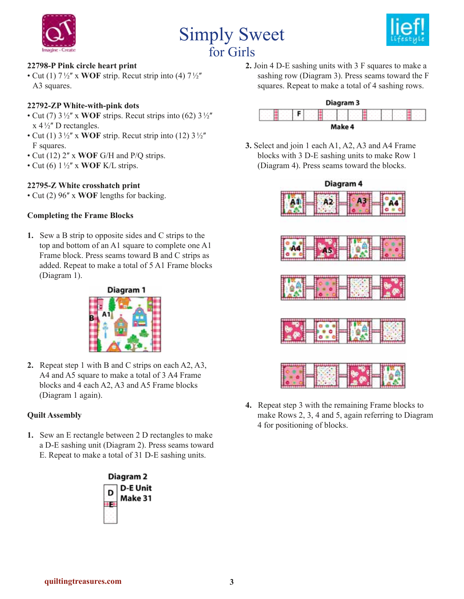





### **22798-P Pink circle heart print**

• Cut (1)  $7\frac{1}{2}$  x **WOF** strip. Recut strip into (4)  $7\frac{1}{2}$ A3 squares.

#### **22792-ZP White-with-pink dots**

- Cut (7)  $3\frac{1}{2}$ " x **WOF** strips. Recut strips into (62)  $3\frac{1}{2}$ "  $x 4\frac{1}{2}$ " D rectangles.
- Cut (1)  $3\frac{1}{2}$ <sup>"</sup> x **WOF** strip. Recut strip into (12)  $3\frac{1}{2}$ " F squares.
- Cut (12) 2" x **WOF** G/H and P/Q strips.
- Cut (6)  $1\frac{1}{2}$ <sup>"</sup> x **WOF** K/L strips.

### **22795-Z White crosshatch print**

• Cut (2) 96" x **WOF** lengths for backing.

#### **Completing the Frame Blocks**

**1.** Sew a B strip to opposite sides and C strips to the top and bottom of an A1 square to complete one A1 Frame block. Press seams toward B and C strips as added. Repeat to make a total of 5 A1 Frame blocks (Diagram 1).



**2.** Repeat step 1 with B and C strips on each A2, A3, A4 and A5 square to make a total of 3 A4 Frame blocks and 4 each A2, A3 and A5 Frame blocks (Diagram 1 again).

### **Quilt Assembly**

**1.** Sew an E rectangle between 2 D rectangles to make a D-E sashing unit (Diagram 2). Press seams toward E. Repeat to make a total of 31 D-E sashing units.



**2.** Join 4 D-E sashing units with 3 F squares to make a sashing row (Diagram 3). Press seams toward the F squares. Repeat to make a total of 4 sashing rows.

## Diagram 3



**3.** Select and join 1 each A1, A2, A3 and A4 Frame blocks with 3 D-E sashing units to make Row 1 (Diagram 4). Press seams toward the blocks.



**4.** Repeat step 3 with the remaining Frame blocks to make Rows 2, 3, 4 and 5, again referring to Diagram 4 for positioning of blocks.

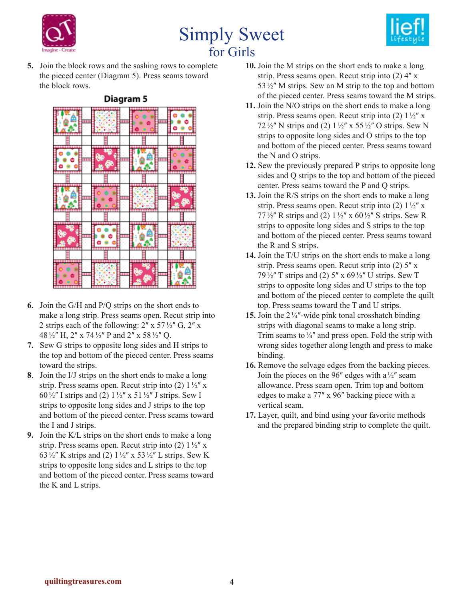





**5.** Join the block rows and the sashing rows to complete the pieced center (Diagram 5). Press seams toward the block rows.



- **6.** Join the G/H and P/Q strips on the short ends to make a long strip. Press seams open. Recut strip into 2 strips each of the following:  $2'' \times 57\frac{1}{2}$  G,  $2'' \times$ 48 ½" H, 2" x 74 ½" P and 2" x 58 ½" Q.
- **7.** Sew G strips to opposite long sides and H strips to the top and bottom of the pieced center. Press seams toward the strips.
- **8**. Join the I/J strips on the short ends to make a long strip. Press seams open. Recut strip into (2)  $1\frac{1}{2}$  x 60 $\frac{1}{2}$ " I strips and (2)  $1\frac{1}{2}$ " x 51 $\frac{1}{2}$ " J strips. Sew I strips to opposite long sides and J strips to the top and bottom of the pieced center. Press seams toward the I and J strips.
- **9.** Join the K/L strips on the short ends to make a long strip. Press seams open. Recut strip into (2)  $1\frac{1}{2}$ " x 63 $\frac{1}{2}$ " K strips and (2)  $1\frac{1}{2}$ " x 53 $\frac{1}{2}$ " L strips. Sew K strips to opposite long sides and L strips to the top and bottom of the pieced center. Press seams toward the K and L strips.
- **10.** Join the M strips on the short ends to make a long strip. Press seams open. Recut strip into  $(2)$  4" x 53 $\frac{1}{2}$ " M strips. Sew an M strip to the top and bottom of the pieced center. Press seams toward the M strips.
- **11.** Join the N/O strips on the short ends to make a long strip. Press seams open. Recut strip into (2)  $1\frac{1}{2}$  x 72 $\frac{1}{2}$ " N strips and (2)  $1\frac{1}{2}$ " x 55 $\frac{1}{2}$ " O strips. Sew N strips to opposite long sides and O strips to the top and bottom of the pieced center. Press seams toward the N and O strips.
- **12.** Sew the previously prepared P strips to opposite long sides and Q strips to the top and bottom of the pieced center. Press seams toward the P and Q strips.
- **13.** Join the R/S strips on the short ends to make a long strip. Press seams open. Recut strip into (2)  $1\frac{1}{2}$  x 77 $\frac{1}{2}$ " R strips and (2)  $1\frac{1}{2}$ " x 60 $\frac{1}{2}$ " S strips. Sew R strips to opposite long sides and S strips to the top and bottom of the pieced center. Press seams toward the R and S strips.
- **14.** Join the T/U strips on the short ends to make a long strip. Press seams open. Recut strip into  $(2)$  5<sup> $\prime\prime$ </sup> x 79 $\frac{1}{2}$ " T strips and (2) 5" x 69 $\frac{1}{2}$ " U strips. Sew T strips to opposite long sides and U strips to the top and bottom of the pieced center to complete the quilt top. Press seams toward the T and U strips.
- **15.** Join the  $2\frac{1}{4}$  -wide pink tonal crosshatch binding strips with diagonal seams to make a long strip. Trim seams to  $\frac{1}{4}$  and press open. Fold the strip with wrong sides together along length and press to make binding.
- **16.** Remove the selvage edges from the backing pieces. Join the pieces on the 96" edges with a  $\frac{1}{2}$ " seam allowance. Press seam open. Trim top and bottom edges to make a 77" x 96" backing piece with a vertical seam.
- **17.** Layer, quilt, and bind using your favorite methods and the prepared binding strip to complete the quilt.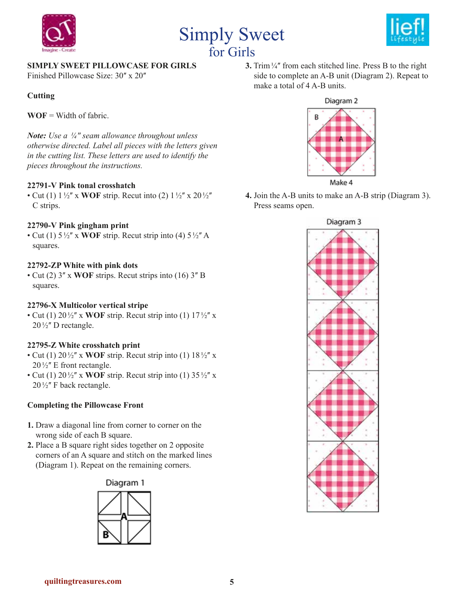





## **SIMPLY SWEET PILLOWCASE FOR GIRLS**

Finished Pillowcase Size: 30" x 20"

## **Cutting**

**WOF** = Width of fabric.

*Note: Use a ¼ʺ seam allowance throughout unless otherwise directed. Label all pieces with the letters given in the cutting list. These letters are used to identify the pieces throughout the instructions.* 

### **22791-V Pink tonal crosshatch**

• Cut (1)  $1\frac{1}{2}$  x **WOF** strip. Recut into (2)  $1\frac{1}{2}$  x 20 $\frac{1}{2}$ C strips.

### **22790-V Pink gingham print**

• Cut (1)  $5\frac{1}{2}$ " x **WOF** strip. Recut strip into (4)  $5\frac{1}{2}$ " A squares.

### **22792-ZP White with pink dots**

• Cut (2)  $3''$  x **WOF** strips. Recut strips into (16)  $3''$  B squares.

### **22796-X Multicolor vertical stripe**

• Cut (1)  $20\frac{1}{2}$  x **WOF** strip. Recut strip into (1)  $17\frac{1}{2}$  x  $20\frac{1}{2}$ " D rectangle.

### **22795-Z White crosshatch print**

- Cut (1)  $20\frac{1}{2}$  x **WOF** strip. Recut strip into (1)  $18\frac{1}{2}$  x  $20\frac{1}{2}$ " E front rectangle.
- Cut (1)  $20\frac{1}{2}$  x **WOF** strip. Recut strip into (1)  $35\frac{1}{2}$  x  $20\frac{1}{2}$ " F back rectangle.

### **Completing the Pillowcase Front**

- **1.** Draw a diagonal line from corner to corner on the wrong side of each B square.
- **2.** Place a B square right sides together on 2 opposite corners of an A square and stitch on the marked lines (Diagram 1). Repeat on the remaining corners.



**3.** Trim<sup>1/4"</sup> from each stitched line. Press B to the right side to complete an A-B unit (Diagram 2). Repeat to make a total of 4 A-B units.



**4.** Join the A-B units to make an A-B strip (Diagram 3). Press seams open.